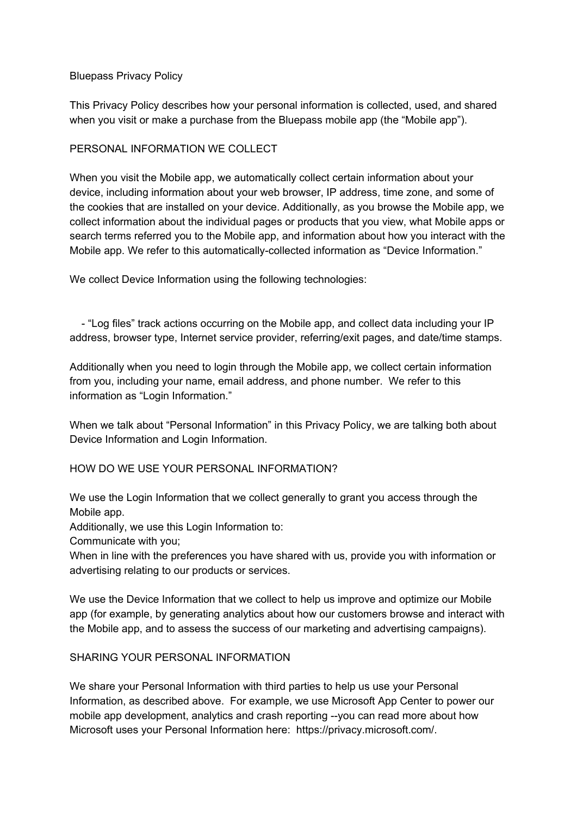### Bluepass Privacy Policy

This Privacy Policy describes how your personal information is collected, used, and shared when you visit or make a purchase from the Bluepass mobile app (the "Mobile app").

### PERSONAL INFORMATION WE COLLECT

When you visit the Mobile app, we automatically collect certain information about your device, including information about your web browser, IP address, time zone, and some of the cookies that are installed on your device. Additionally, as you browse the Mobile app, we collect information about the individual pages or products that you view, what Mobile apps or search terms referred you to the Mobile app, and information about how you interact with the Mobile app. We refer to this automatically-collected information as "Device Information."

We collect Device Information using the following technologies:

- "Log files" track actions occurring on the Mobile app, and collect data including your IP address, browser type, Internet service provider, referring/exit pages, and date/time stamps.

Additionally when you need to login through the Mobile app, we collect certain information from you, including your name, email address, and phone number. We refer to this information as "Login Information."

When we talk about "Personal Information" in this Privacy Policy, we are talking both about Device Information and Login Information.

### HOW DO WE USE YOUR PERSONAL INFORMATION?

We use the Login Information that we collect generally to grant you access through the Mobile app.

Additionally, we use this Login Information to:

Communicate with you;

When in line with the preferences you have shared with us, provide you with information or advertising relating to our products or services.

We use the Device Information that we collect to help us improve and optimize our Mobile app (for example, by generating analytics about how our customers browse and interact with the Mobile app, and to assess the success of our marketing and advertising campaigns).

### SHARING YOUR PERSONAL INFORMATION

We share your Personal Information with third parties to help us use your Personal Information, as described above. For example, we use Microsoft App Center to power our mobile app development, analytics and crash reporting --you can read more about how Microsoft uses your Personal Information here: https://privacy.microsoft.com/.